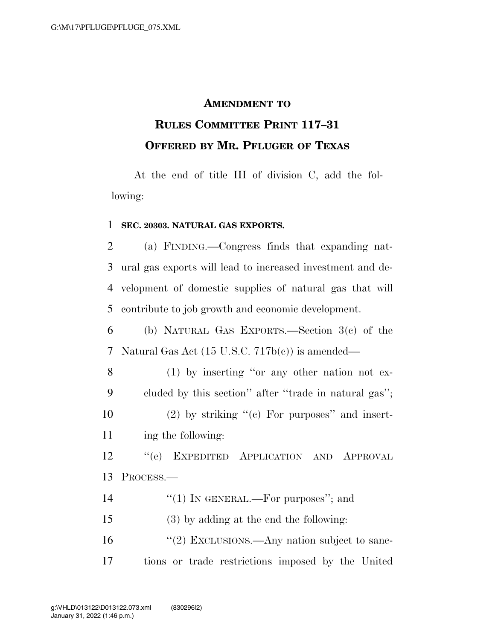## **AMENDMENT TO**

## **RULES COMMITTEE PRINT 117–31 OFFERED BY MR. PFLUGER OF TEXAS**

At the end of title III of division C, add the following:

## 1 **SEC. 20303. NATURAL GAS EXPORTS.**

 (a) FINDING.—Congress finds that expanding nat- ural gas exports will lead to increased investment and de- velopment of domestic supplies of natural gas that will contribute to job growth and economic development.

6 (b) NATURAL GAS EXPORTS.—Section 3(c) of the 7 Natural Gas Act (15 U.S.C. 717b(c)) is amended—

 (1) by inserting ''or any other nation not ex- cluded by this section'' after ''trade in natural gas''; 10 (2) by striking  $(°)$  For purposes" and insert-ing the following:

12 ''(c) EXPEDITED APPLICATION AND APPROVAL 13 PROCESS.—

14  $\frac{1}{2}$  IN GENERAL.—For purposes"; and

15 (3) by adding at the end the following:

16 "(2) EXCLUSIONS.—Any nation subject to sanc-17 tions or trade restrictions imposed by the United